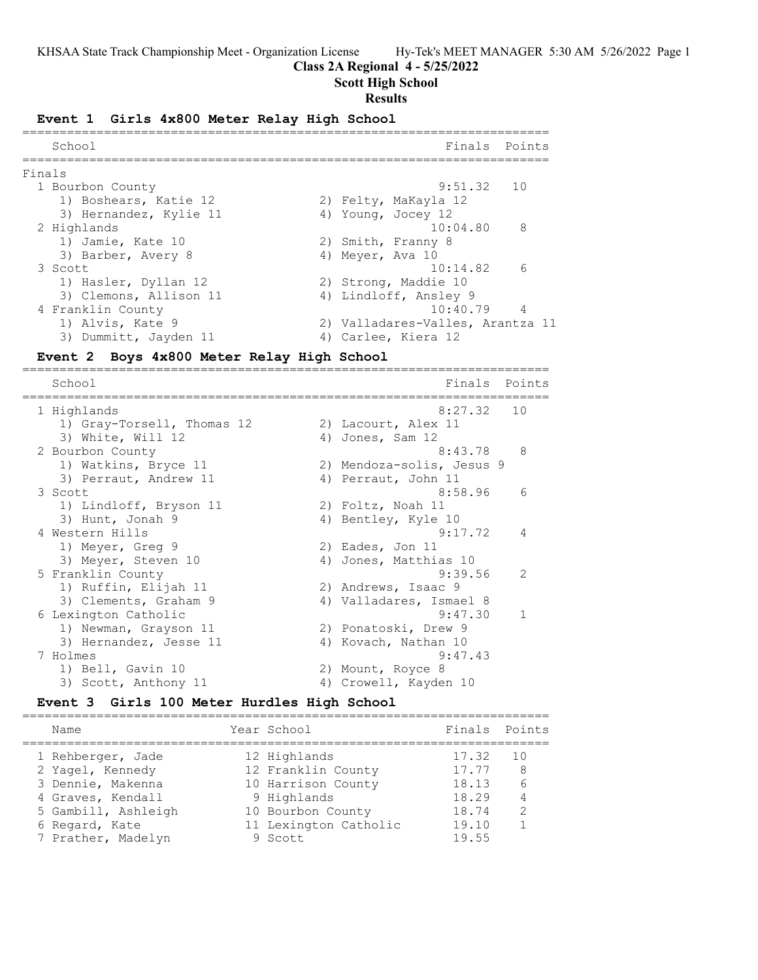## **Class 2A Regional 4 - 5/25/2022**

## **Scott High School**

### **Results**

### **Event 1 Girls 4x800 Meter Relay High School**

|        | School                 | Finals Points                    |
|--------|------------------------|----------------------------------|
| Finals |                        |                                  |
|        | 1 Bourbon County       | 9:51.32 10                       |
|        | 1) Boshears, Katie 12  | 2) Felty, MaKayla 12             |
|        | 3) Hernandez, Kylie 11 | 4) Young, Jocey 12               |
|        | 2 Highlands            | 8<br>10:04.80                    |
|        | 1) Jamie, Kate 10      | 2) Smith, Franny 8               |
|        | 3) Barber, Avery 8     | 4) Meyer, Ava 10                 |
|        | 3 Scott                | $10:14.82$ 6                     |
|        | 1) Hasler, Dyllan 12   | 2) Strong, Maddie 10             |
|        | 3) Clemons, Allison 11 | 4) Lindloff, Ansley 9            |
|        | 4 Franklin County      | $10:40.79$ 4                     |
|        | 1) Alvis, Kate 9       | 2) Valladares-Valles, Arantza 11 |
|        | 3) Dummitt, Jayden 11  | 4) Carlee, Kiera 12              |

# **Event 2 Boys 4x800 Meter Relay High School**

======================================================================= Finals Points ======================================================================= 1 Highlands 8:27.32 10 1) Gray-Torsell, Thomas 12 (2) Lacourt, Alex 11 3) White, Will 12 4) Jones, Sam 12 2 Bourbon County 8:43.78 8 1) Watkins, Bryce 11 2) Mendoza-solis, Jesus 9 3) Perraut, Andrew 11 (4) Perraut, John 11 3 Scott 8:58.96 6 1) Lindloff, Bryson 11 2) Foltz, Noah 11 3) Hunt, Jonah 9 19 10 4) Bentley, Kyle 10 4 Western Hills 9:17.72 4 1) Meyer, Greg 9 2) Eades, Jon 11 3) Meyer, Steven 10 4) Jones, Matthias 10 5 Franklin County 9:39.56 2 1) Ruffin, Elijah 11 2) Andrews, Isaac 9 3) Clements, Graham 9 4) Valladares, Ismael 8 6 Lexington Catholic 9:47.30 1 1) Newman, Grayson 11 2) Ponatoski, Drew 9 3) Hernandez, Jesse 11 (4) Kovach, Nathan 10 7 Holmes 9:47.43 1) Bell, Gavin 10 2) Mount, Royce 8 3) Scott, Anthony 11 4) Crowell, Kayden 10

# **Event 3 Girls 100 Meter Hurdles High School**

| Name                | Year School           | Finals Points |               |
|---------------------|-----------------------|---------------|---------------|
| 1 Rehberger, Jade   | 12 Highlands          | 17.32         | 10            |
| 2 Yagel, Kennedy    | 12 Franklin County    | 17.77         | 8             |
| 3 Dennie, Makenna   | 10 Harrison County    | 18.13         |               |
| 4 Graves, Kendall   | 9 Highlands           | 18.29         |               |
| 5 Gambill, Ashleigh | 10 Bourbon County     | 18.74         | $\mathcal{P}$ |
| 6 Regard, Kate      | 11 Lexington Catholic | 19.10         |               |
| 7 Prather, Madelyn  | 9 Scott               | 19.55         |               |
|                     |                       |               |               |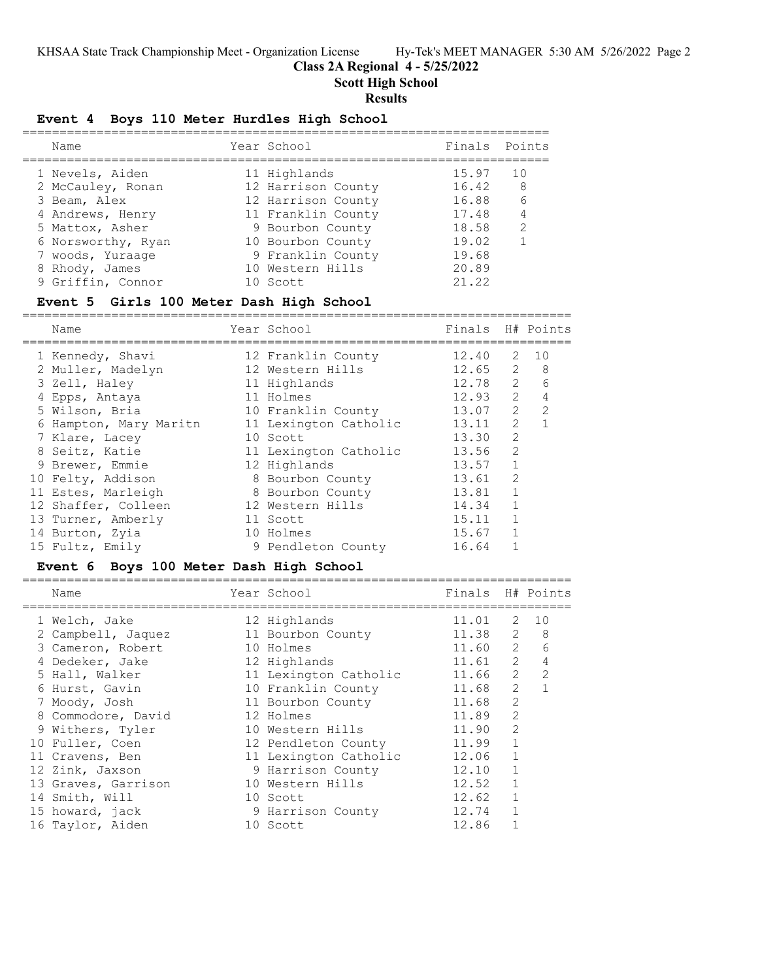# **Class 2A Regional 4 - 5/25/2022**

**Scott High School**

# **Results**

# **Event 4 Boys 110 Meter Hurdles High School**

|  | Name               | Year School        | Finals Points |     |
|--|--------------------|--------------------|---------------|-----|
|  | 1 Nevels, Aiden    | 11 Highlands       | 15.97         | 1 O |
|  | 2 McCauley, Ronan  | 12 Harrison County | 16.42         | - 8 |
|  | 3 Beam, Alex       | 12 Harrison County | 16.88         | 6   |
|  | 4 Andrews, Henry   | 11 Franklin County | 17.48         | 4   |
|  | 5 Mattox, Asher    | 9 Bourbon County   | 18.58         | 2   |
|  | 6 Norsworthy, Ryan | 10 Bourbon County  | 19.02         |     |
|  | 7 woods, Yuraage   | 9 Franklin County  | 19.68         |     |
|  | 8 Rhody, James     | 10 Western Hills   | 20.89         |     |
|  | 9 Griffin, Connor  | 10 Scott           | 21.22         |     |
|  |                    |                    |               |     |

## **Event 5 Girls 100 Meter Dash High School**

==========================================================================

| Name                   | Year School           | Finals |               | H# Points    |
|------------------------|-----------------------|--------|---------------|--------------|
| 1 Kennedy, Shavi       | 12 Franklin County    | 12.40  |               | 2 10         |
| 2 Muller, Madelyn      | 12 Western Hills      | 12.65  | 2             | - 8          |
| 3 Zell, Haley          | 11 Highlands          | 12.78  | 2             | 6            |
| 4 Epps, Antaya         | 11 Holmes             | 12.93  | 2             | 4            |
| 5 Wilson, Bria         | 10 Franklin County    | 13.07  | 2             | 2            |
| 6 Hampton, Mary Maritn | 11 Lexington Catholic | 13.11  | $\mathcal{L}$ | $\mathbf{1}$ |
| 7 Klare, Lacey         | 10 Scott              | 13.30  | $\mathcal{L}$ |              |
| 8 Seitz, Katie         | 11 Lexington Catholic | 13.56  | $\mathcal{L}$ |              |
| 9 Brewer, Emmie        | 12 Highlands          | 13.57  |               |              |
| 10 Felty, Addison      | 8 Bourbon County      | 13.61  | $\mathcal{L}$ |              |
| 11 Estes, Marleigh     | 8 Bourbon County      | 13.81  | $\mathbf{1}$  |              |
| 12 Shaffer, Colleen    | 12 Western Hills      | 14.34  |               |              |
| 13 Turner, Amberly     | 11 Scott              | 15.11  |               |              |
| 14 Burton, Zyia        | 10 Holmes             | 15.67  |               |              |
| 15 Fultz, Emily        | 9 Pendleton County    | 16.64  |               |              |

## **Event 6 Boys 100 Meter Dash High School**

| Name                | Year School           | Finals H# Points |                |               |
|---------------------|-----------------------|------------------|----------------|---------------|
| 1 Welch, Jake       | 12 Highlands          | 11.01            | 2              | 1 O           |
| 2 Campbell, Jaquez  | 11 Bourbon County     | 11.38            | 2              | 8             |
| 3 Cameron, Robert   | 10 Holmes             | 11.60            | 2              | 6             |
| 4 Dedeker, Jake     | 12 Highlands          | 11.61            | 2              |               |
| 5 Hall, Walker      | 11 Lexington Catholic | 11.66            | $\overline{2}$ | $\mathcal{L}$ |
| 6 Hurst, Gavin      | 10 Franklin County    | 11.68            | 2              |               |
| 7 Moody, Josh       | 11 Bourbon County     | 11.68            | 2              |               |
| 8 Commodore, David  | 12 Holmes             | 11.89            | 2              |               |
| 9 Withers, Tyler    | 10 Western Hills      | 11.90            | 2              |               |
| 10 Fuller, Coen     | 12 Pendleton County   | 11.99            |                |               |
| 11 Cravens, Ben     | 11 Lexington Catholic | 12.06            |                |               |
| 12 Zink, Jaxson     | 9 Harrison County     | 12.10            |                |               |
| 13 Graves, Garrison | 10 Western Hills      | 12.52            |                |               |
| 14 Smith, Will      | 10 Scott              | 12.62            |                |               |
| 15 howard, jack     | 9 Harrison County     | 12.74            |                |               |
| 16 Taylor, Aiden    | 10 Scott              | 12.86            |                |               |
|                     |                       |                  |                |               |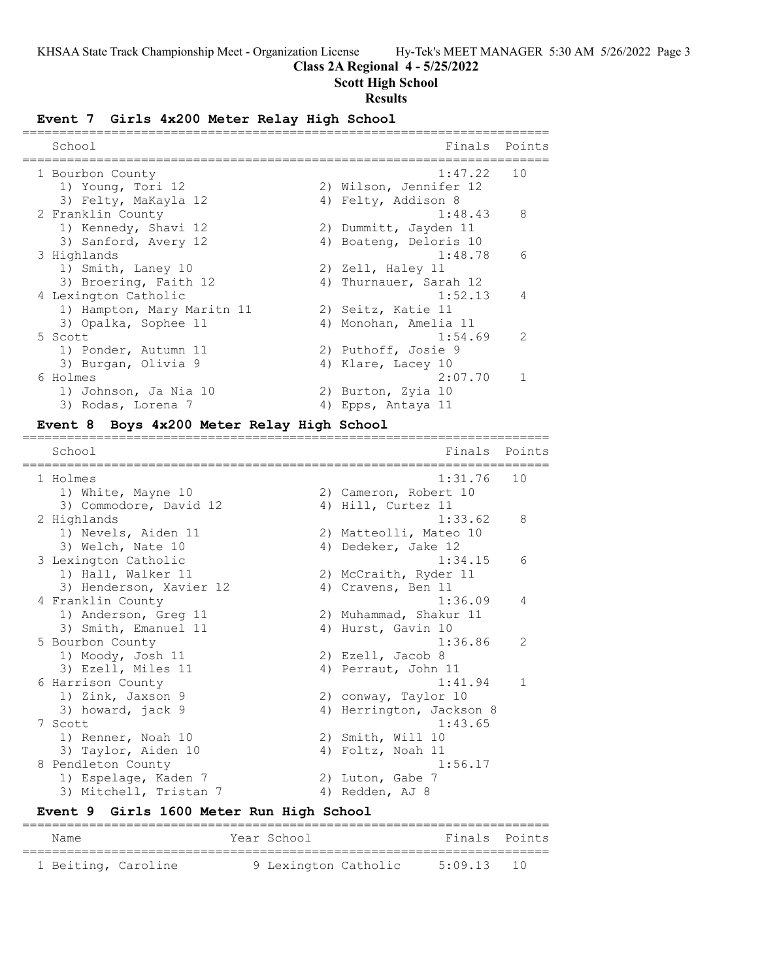## **Class 2A Regional 4 - 5/25/2022**

# **Scott High School**

# **Results**

## **Event 7 Girls 4x200 Meter Relay High School**

| School                     | Finals                 | Points         |
|----------------------------|------------------------|----------------|
| 1 Bourbon County           | 1:47.22                | 10             |
| 1) Young, Tori 12          | 2) Wilson, Jennifer 12 |                |
| 3) Felty, MaKayla 12       | 4) Felty, Addison 8    |                |
| 2 Franklin County          | 1:48.43                | 8              |
| 1) Kennedy, Shavi 12       | 2) Dummitt, Jayden 11  |                |
| 3) Sanford, Avery 12       | 4) Boateng, Deloris 10 |                |
| 3 Highlands                | 1:48.78                | 6              |
| 1) Smith, Laney 10         | 2) Zell, Haley 11      |                |
| 3) Broering, Faith 12      | 4) Thurnauer, Sarah 12 |                |
| 4 Lexington Catholic       | 1:52.13                | $\overline{4}$ |
| 1) Hampton, Mary Maritn 11 | 2) Seitz, Katie 11     |                |
| 3) Opalka, Sophee 11       | 4) Monohan, Amelia 11  |                |
| 5 Scott                    | 1:54.69                | $\mathcal{L}$  |
| 1) Ponder, Autumn 11       | 2) Puthoff, Josie 9    |                |
| 3) Burgan, Olivia 9        | 4) Klare, Lacey 10     |                |
| 6 Holmes                   | 2:07.70                |                |
| 1) Johnson, Ja Nia 10      | 2) Burton, Zyia 10     |                |
| 3) Rodas, Lorena 7         | 4) Epps, Antaya 11     |                |

### **Event 8 Boys 4x200 Meter Relay High School**

======================================================================= School **Finals** Points ======================================================================= 1 Holmes 1:31.76 10 1) White, Mayne 10 2) Cameron, Robert 10 3) Commodore, David 12 (4) Hill, Curtez 11 2 Highlands 1:33.62 8 1) Nevels, Aiden 11 2) Matteolli, Mateo 10 3) Welch, Nate 10 4) Dedeker, Jake 12 3 Lexington Catholic 1:34.15 6 1) Hall, Walker 11 2) McCraith, Ryder 11 3) Henderson, Xavier 12 (4) Cravens, Ben 11 4 Franklin County 1:36.09 4 1) Anderson, Greg 11 2) Muhammad, Shakur 11 3) Smith, Emanuel 11 4) Hurst, Gavin 10 5 Bourbon County 1:36.86 2 1) Moody, Josh 11 2) Ezell, Jacob 8 3) Ezell, Miles 11 (4) Perraut, John 11 6 Harrison County 1:41.94 1 1) Zink, Jaxson 9 2) conway, Taylor 10 3) howard, jack 9 1980 1991 1992 1994 Herrington, Jackson 8 7 Scott 1:43.65 1) Renner, Noah 10 2) Smith, Will 10 3) Taylor, Aiden 10 (4) Foltz, Noah 11 8 Pendleton County 2016 1:56.17 1) Espelage, Kaden 7 (2) 2) Luton, Gabe 7 3) Mitchell, Tristan 7 (4) Redden, AJ 8

# **Event 9 Girls 1600 Meter Run High School**

| Name                | Year School          | Finals Points |  |
|---------------------|----------------------|---------------|--|
|                     |                      |               |  |
| 1 Beiting, Caroline | 9 Lexington Catholic | $5:09.13$ 10  |  |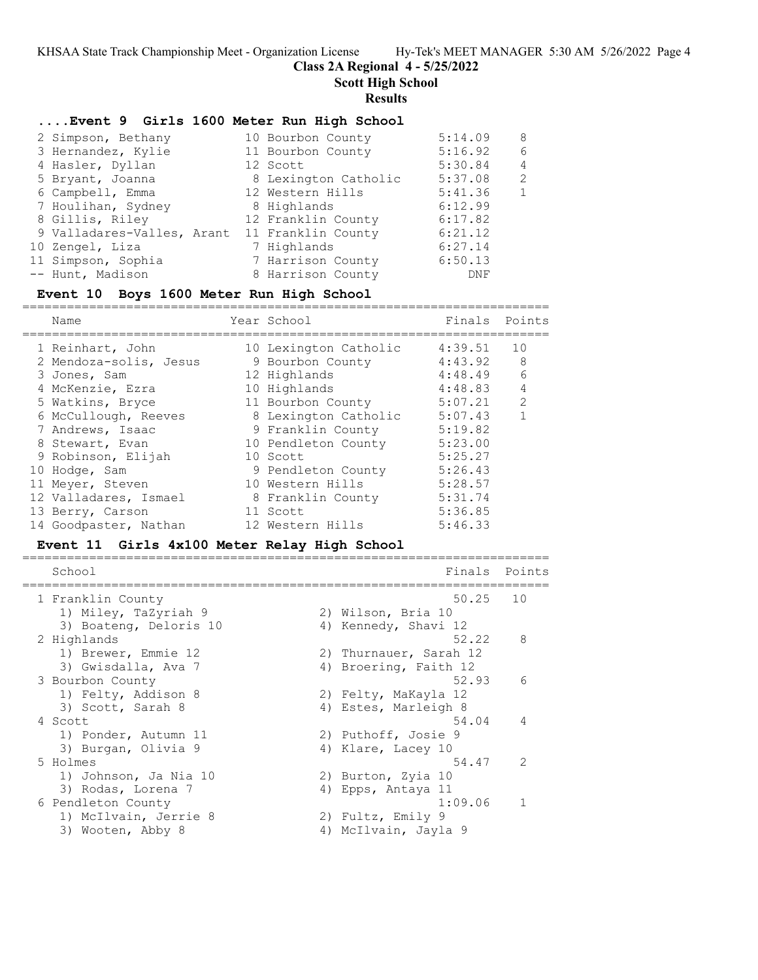# **Class 2A Regional 4 - 5/25/2022**

**Scott High School**

### **Results**

## **....Event 9 Girls 1600 Meter Run High School**

| 2 Simpson, Bethany         | 10 Bourbon County    | 5:14.09 | -8 |
|----------------------------|----------------------|---------|----|
| 3 Hernandez, Kylie         | 11 Bourbon County    | 5:16.92 | 6  |
| 4 Hasler, Dyllan           | 12 Scott             | 5:30.84 | 4  |
| 5 Bryant, Joanna           | 8 Lexington Catholic | 5:37.08 | 2  |
| 6 Campbell, Emma           | 12 Western Hills     | 5:41.36 | 1  |
| 7 Houlihan, Sydney         | 8 Highlands          | 6:12.99 |    |
| 8 Gillis, Riley            | 12 Franklin County   | 6:17.82 |    |
| 9 Valladares-Valles, Arant | 11 Franklin County   | 6:21.12 |    |
| 10 Zengel, Liza            | 7 Highlands          | 6:27.14 |    |
| 11 Simpson, Sophia         | 7 Harrison County    | 6:50.13 |    |
| -- Hunt, Madison           | 8 Harrison County    | DNF     |    |

### **Event 10 Boys 1600 Meter Run High School**

======================================================================= Name Year School Finals Points ======================================================================= 1 Reinhart, John 10 Lexington Catholic 4:39.51 10 2 Mendoza-solis, Jesus 9 Bourbon County 4:43.92 8 3 Jones, Sam 12 Highlands 4:48.49 6 4 McKenzie, Ezra 10 Highlands 4:48.83 4 5 Watkins, Bryce 11 Bourbon County 5:07.21 2 6 McCullough, Reeves 8 Lexington Catholic 5:07.43 1 7 Andrews, Isaac 9 Franklin County 5:19.82 8 Stewart, Evan 10 Pendleton County 5:23.00 9 Robinson, Elijah 10 Scott 5:25.27 10 Hodge, Sam 9 Pendleton County 5:26.43 11 Meyer, Steven 10 Western Hills 5:28.57 12 Valladares, Ismael 8 Franklin County 5:31.74 13 Berry, Carson and 11 Scott 5:36.85 14 Goodpaster, Nathan 12 Western Hills 5:46.33

### **Event 11 Girls 4x100 Meter Relay High School**

======================================================================= School **Finals Points** ======================================================================= 1 Franklin County 50.25 10 1) Miley, TaZyriah 9 2) Wilson, Bria 10 3) Boateng, Deloris 10 (4) Kennedy, Shavi 12 2 Highlands 52.22 8 1) Brewer, Emmie 12 2) Thurnauer, Sarah 12 3) Gwisdalla, Ava 7 1988 1998 1999, Ava 7 1999 10 4) Broering, Faith 12 3 Bourbon County 52.93 6 1) Felty, Addison 8 2) Felty, MaKayla 12 3) Scott, Sarah 8 4) Estes, Marleigh 8 4 Scott 34.04 4 1) Ponder, Autumn 11 2) Puthoff, Josie 9 3) Burgan, Olivia 9 4) Klare, Lacey 10 5 Holmes 54.47 2 1) Johnson, Ja Nia 10  $\hskip10mm$  2) Burton, Zyia 10 3) Rodas, Lorena 7 (4) Epps, Antaya 11 6 Pendleton County 1:09.06 1 1) McIlvain, Jerrie 8 2) Fultz, Emily 9 3) Wooten, Abby 8 4) McIlvain, Jayla 9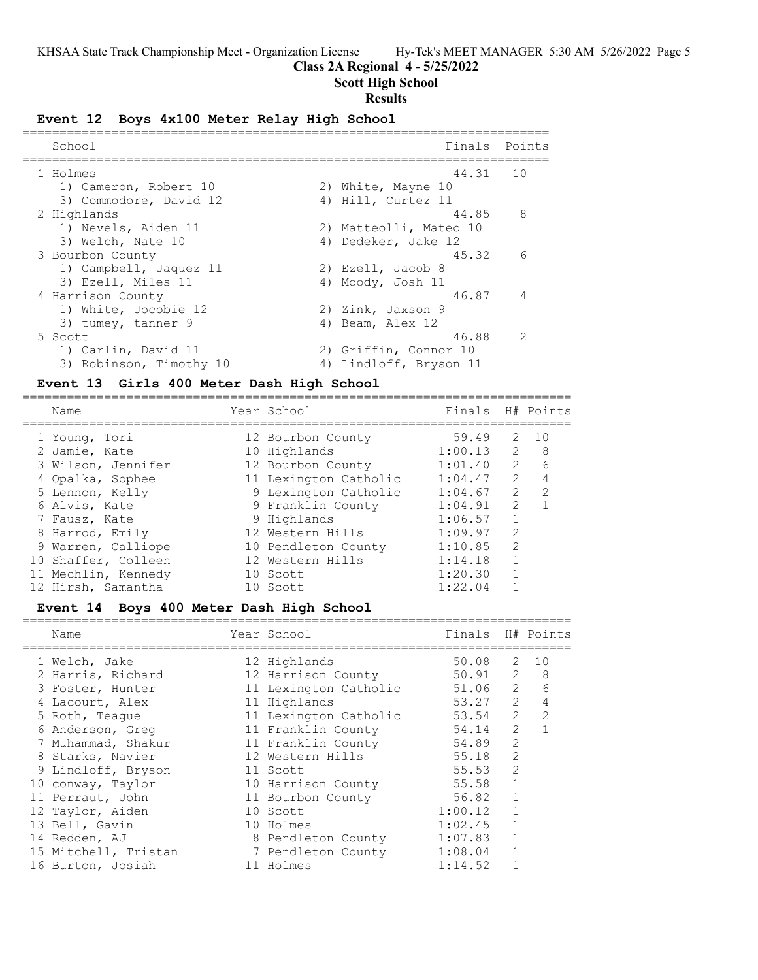==========================================================================

# **Class 2A Regional 4 - 5/25/2022**

## **Scott High School**

## **Results**

## **Event 12 Boys 4x100 Meter Relay High School**

| School                  | Finals                 | Points         |
|-------------------------|------------------------|----------------|
| 1 Holmes                | 44.31                  | 10             |
| 1) Cameron, Robert 10   | 2) White, Mayne 10     |                |
| 3) Commodore, David 12  | 4) Hill, Curtez 11     |                |
| 2 Highlands             | 44.85                  | 8              |
| 1) Nevels, Aiden 11     | 2) Matteolli, Mateo 10 |                |
| 3) Welch, Nate 10       | 4) Dedeker, Jake 12    |                |
| 3 Bourbon County        | 45.32                  | 6              |
| 1) Campbell, Jaquez 11  | 2) Ezell, Jacob 8      |                |
| 3) Ezell, Miles 11      | 4) Moody, Josh 11      |                |
| 4 Harrison County       | 46.87                  | $\overline{4}$ |
| 1) White, Jocobie 12    | 2) Zink, Jaxson 9      |                |
| 3) tumey, tanner 9      | 4) Beam, Alex 12       |                |
| 5 Scott                 | 46.88                  | $\mathcal{P}$  |
| 1) Carlin, David 11     | 2) Griffin, Connor 10  |                |
| 3) Robinson, Timothy 10 | 4) Lindloff, Bryson 11 |                |

#### **Event 13 Girls 400 Meter Dash High School**

========================================================================== Year School Finals H# Points ========================================================================== 1 Young, Tori 12 Bourbon County 59.49 2 10 2 Jamie, Kate 10 Highlands 1:00.13 2 8 3 Wilson, Jennifer 12 Bourbon County 1:01.40 2 6 4 Opalka, Sophee 11 Lexington Catholic 1:04.47 2 4 5 Lennon, Kelly 9 Lexington Catholic 1:04.67 2 2 6 Alvis, Kate 9 Franklin County 1:04.91 2 1 7 Fausz, Kate 9 Highlands 1:06.57 1 8 Harrod, Emily 12 Western Hills 1:09.97 2 9 Warren, Calliope 10 Pendleton County 1:10.85 2 10 Shaffer, Colleen 12 Western Hills 1:14.18 1 11 Mechlin, Kennedy 10 Scott 1:20.30 1 12 Hirsh, Samantha 10 Scott 1:22.04 1

# **Event 14 Boys 400 Meter Dash High School**

| Name                 | Year School           | Finals H# Points |                |             |
|----------------------|-----------------------|------------------|----------------|-------------|
| 1 Welch, Jake        | 12 Highlands          | 50.08            | $\overline{2}$ | 1 O         |
| 2 Harris, Richard    | 12 Harrison County    | 50.91            |                | $2 \quad 8$ |
| 3 Foster, Hunter     | 11 Lexington Catholic | 51.06            | $\overline{2}$ | 6           |
| 4 Lacourt, Alex      | 11 Highlands          | 53.27            | 2              | 4           |
| 5 Roth, Teaque       | 11 Lexington Catholic | 53.54            | 2              | 2           |
| 6 Anderson, Greg     | 11 Franklin County    | 54.14            | $\mathcal{L}$  |             |
| 7 Muhammad, Shakur   | 11 Franklin County    | 54.89            | 2              |             |
| 8 Starks, Navier     | 12 Western Hills      | 55.18            | 2              |             |
| 9 Lindloff, Bryson   | 11 Scott              | 55.53            | 2              |             |
| 10 conway, Taylor    | 10 Harrison County    | 55.58            | $\mathbf{1}$   |             |
| 11 Perraut, John     | 11 Bourbon County     | 56.82            | $\mathbf{1}$   |             |
| 12 Taylor, Aiden     | 10 Scott              | 1:00.12          | $\mathbf{1}$   |             |
| 13 Bell, Gavin       | 10 Holmes             | 1:02.45          | $\mathbf{1}$   |             |
| 14 Redden, AJ        | 8 Pendleton County    | 1:07.83          | $\mathbf{1}$   |             |
| 15 Mitchell, Tristan | 7 Pendleton County    | 1:08.04          | $\mathbf{1}$   |             |
| 16 Burton, Josiah    | 11 Holmes             | 1:14.52          |                |             |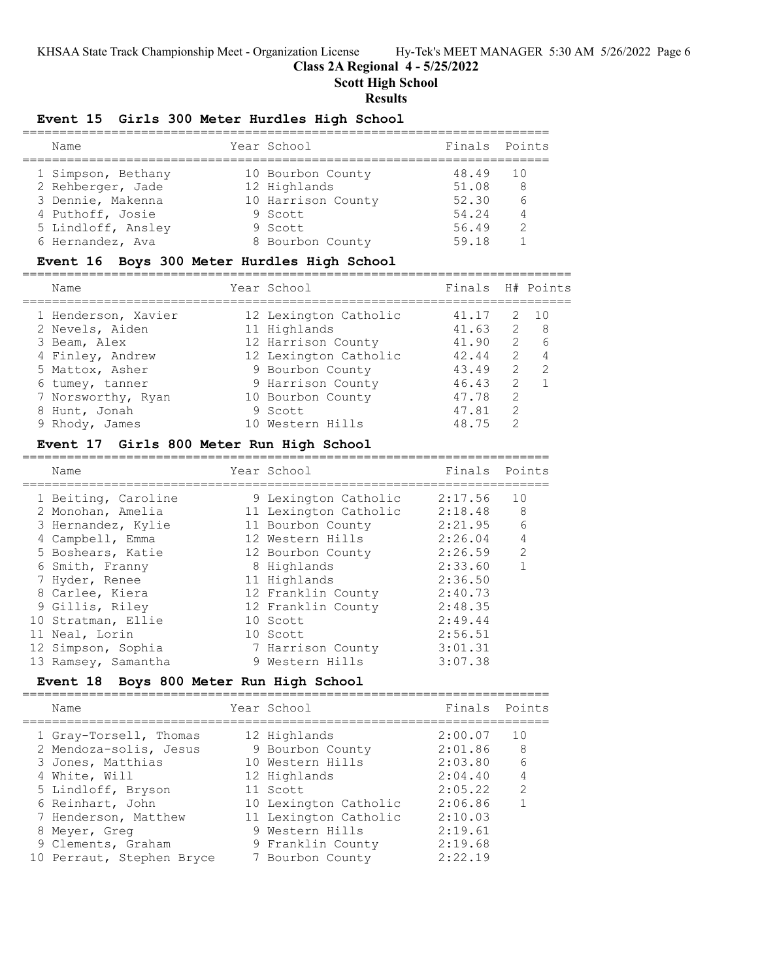# **Class 2A Regional 4 - 5/25/2022**

**Scott High School**

# **Results**

# **Event 15 Girls 300 Meter Hurdles High School**

| Name               | Year School        | Finals Points |     |
|--------------------|--------------------|---------------|-----|
| 1 Simpson, Bethany | 10 Bourbon County  | 48.49         | 1 O |
| 2 Rehberger, Jade  | 12 Highlands       | 51.08         | -8  |
| 3 Dennie, Makenna  | 10 Harrison County | 52.30         | 6   |
| 4 Puthoff, Josie   | 9 Scott            | 54.24         | 4   |
| 5 Lindloff, Ansley | 9 Scott            | 56.49         | 2   |
| 6 Hernandez, Ava   | 8 Bourbon County   | 59.18         |     |

# **Event 16 Boys 300 Meter Hurdles High School**

| Name                | Year School           | Finals H# Points |               |                  |
|---------------------|-----------------------|------------------|---------------|------------------|
| 1 Henderson, Xavier | 12 Lexington Catholic | 41.17            |               | 2 10             |
| 2 Nevels, Aiden     | 11 Highlands          | 41.63            |               | 2 8              |
| 3 Beam, Alex        | 12 Harrison County    | 41.90            |               | $2^{\circ}$<br>6 |
| 4 Finley, Andrew    | 12 Lexington Catholic | 42.44            | $\mathcal{P}$ |                  |
| 5 Mattox, Asher     | 9 Bourbon County      | 43.49            | $\mathcal{L}$ | $\mathcal{P}$    |
| 6 tumey, tanner     | 9 Harrison County     | 46.43            | 2             |                  |
| 7 Norsworthy, Ryan  | 10 Bourbon County     | 47.78            | $\mathcal{L}$ |                  |
| 8 Hunt, Jonah       | 9 Scott               | 47.81            | $\mathcal{P}$ |                  |
| 9 Rhody, James      | 10 Western Hills      | 48 75            |               |                  |
|                     |                       |                  |               |                  |

=======================================================================

# **Event 17 Girls 800 Meter Run High School**

| Name                | Year School           | Finals Points |                |
|---------------------|-----------------------|---------------|----------------|
| 1 Beiting, Caroline | 9 Lexington Catholic  | 2:17.56       | 10             |
| 2 Monohan, Amelia   | 11 Lexington Catholic | 2:18.48       | 8              |
| 3 Hernandez, Kylie  | 11 Bourbon County     | 2:21.95       | 6              |
| 4 Campbell, Emma    | 12 Western Hills      | 2:26.04       | $\overline{4}$ |
| 5 Boshears, Katie   | 12 Bourbon County     | 2:26.59       | 2              |
| 6 Smith, Franny     | 8 Highlands           | 2:33.60       |                |
| 7 Hyder, Renee      | 11 Highlands          | 2:36.50       |                |
| 8 Carlee, Kiera     | 12 Franklin County    | 2:40.73       |                |
| 9 Gillis, Riley     | 12 Franklin County    | 2:48.35       |                |
| 10 Stratman, Ellie  | 10 Scott              | 2:49.44       |                |
| 11 Neal, Lorin      | 10 Scott              | 2:56.51       |                |
| 12 Simpson, Sophia  | 7 Harrison County     | 3:01.31       |                |
| 13 Ramsey, Samantha | 9 Western Hills       | 3:07.38       |                |

# **Event 18 Boys 800 Meter Run High School**

=======================================================================

| Name                      |  |                                                                                                                                                                                                               |                |
|---------------------------|--|---------------------------------------------------------------------------------------------------------------------------------------------------------------------------------------------------------------|----------------|
| 1 Gray-Torsell, Thomas    |  | 2:00.07                                                                                                                                                                                                       | 10             |
| 2 Mendoza-solis, Jesus    |  | 2:01.86                                                                                                                                                                                                       | 8              |
| 3 Jones, Matthias         |  | 2:03.80                                                                                                                                                                                                       | 6              |
| 4 White, Will             |  | 2:04.40                                                                                                                                                                                                       | $\overline{4}$ |
| 5 Lindloff, Bryson        |  | 2:05.22                                                                                                                                                                                                       | $\mathcal{L}$  |
| 6 Reinhart, John          |  | 2:06.86                                                                                                                                                                                                       |                |
| 7 Henderson, Matthew      |  | 2:10.03                                                                                                                                                                                                       |                |
| 8 Meyer, Greg             |  | 2:19.61                                                                                                                                                                                                       |                |
| 9 Clements, Graham        |  | 2:19.68                                                                                                                                                                                                       |                |
| 10 Perraut, Stephen Bryce |  | 2:22.19                                                                                                                                                                                                       |                |
|                           |  | Year School<br>12 Highlands<br>9 Bourbon County<br>10 Western Hills<br>12 Highlands<br>11 Scott<br>10 Lexington Catholic<br>11 Lexington Catholic<br>9 Western Hills<br>9 Franklin County<br>7 Bourbon County | Finals Points  |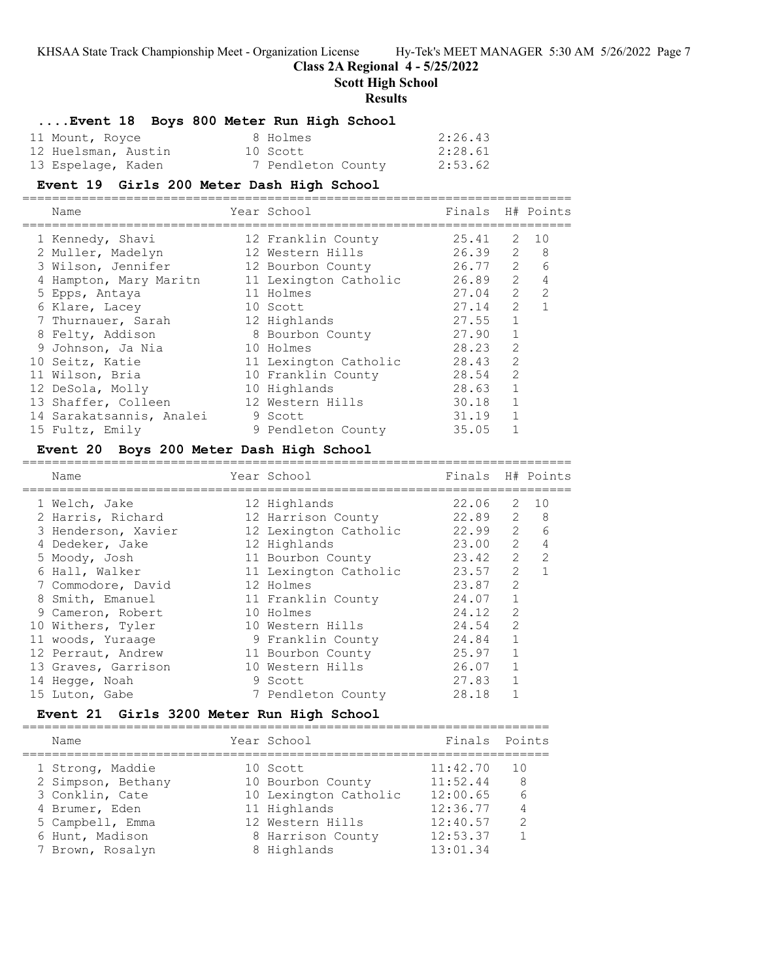# **Class 2A Regional 4 - 5/25/2022**

**Scott High School**

#### **Results**

## **....Event 18 Boys 800 Meter Run High School**

| 11 Mount, Royce     | 8 Holmes           | 2:26.43 |
|---------------------|--------------------|---------|
| 12 Huelsman, Austin | 10 Scott           | 2:28.61 |
| 13 Espelage, Kaden  | 7 Pendleton County | 2:53.62 |

### **Event 19 Girls 200 Meter Dash High School**

========================================================================== Name The School Chamber of Team Mannership Mannership Mannership Mannership Mannership Mannership Mannership Ma ========================================================================== 1 Kennedy, Shavi 12 Franklin County 25.41 2 10 2 Muller, Madelyn 12 Western Hills 26.39 2 8 3 Wilson, Jennifer 12 Bourbon County 26.77 2 6 4 Hampton, Mary Maritn 11 Lexington Catholic 26.89 2 4 5 Epps, Antaya 11 Holmes 27.04 2 2 6 Klare, Lacey 10 Scott 27.14 2 1 7 Thurnauer, Sarah 12 Highlands 27.55 1 8 Felty, Addison 8 Bourbon County 27.90 1 9 Johnson, Ja Nia 10 Holmes 28.23 2 10 Seitz, Katie 11 Lexington Catholic 28.43 2

| 11 Wilson, Bria          | 10 Franklin County | 28.54 | $\sim$ 2 |
|--------------------------|--------------------|-------|----------|
| 12 DeSola, Molly         | 10 Highlands       | 28.63 |          |
| 13 Shaffer, Colleen      | 12 Western Hills   | 30.18 |          |
| 14 Sarakatsannis, Analei | 9 Scott            | 31.19 |          |
| 15 Fultz, Emily          | 9 Pendleton County | 35.05 |          |

## **Event 20 Boys 200 Meter Dash High School**

==========================================================================

| Name                | Year School           | Finals      |               | H# Points    |
|---------------------|-----------------------|-------------|---------------|--------------|
| 1 Welch, Jake       | 12 Highlands          | 22.06       |               | $2 \quad 10$ |
| 2 Harris, Richard   | 12 Harrison County    | $22.89$ 2 8 |               |              |
| 3 Henderson, Xavier | 12 Lexington Catholic | $22.99$ 2   |               | 6            |
| 4 Dedeker, Jake     | 12 Highlands          | 23.00       | $\mathcal{L}$ | 4            |
| 5 Moody, Josh       | 11 Bourbon County     | 23.42       | 2             | 2            |
| 6 Hall, Walker      | 11 Lexington Catholic | 23.57       | 2             |              |
| 7 Commodore, David  | 12 Holmes             | 23.87       | $\mathcal{L}$ |              |
| 8 Smith, Emanuel    | 11 Franklin County    | 24.07       | $\mathbf{1}$  |              |
| 9 Cameron, Robert   | 10 Holmes             | 24.12       | 2             |              |
| 10 Withers, Tyler   | 10 Western Hills      | 24.54       | $\mathcal{L}$ |              |
| 11 woods, Yuraage   | 9 Franklin County     | 24.84       | $\mathbf{1}$  |              |
| 12 Perraut, Andrew  | 11 Bourbon County     | 25.97       | $\mathbf{1}$  |              |
| 13 Graves, Garrison | 10 Western Hills      | 26.07       | $\mathbf{1}$  |              |
| 14 Hegge, Noah      | 9 Scott               | 27.83       | 1             |              |
| 15 Luton, Gabe      | 7 Pendleton County    | 28.18       |               |              |
|                     |                       |             |               |              |

### **Event 21 Girls 3200 Meter Run High School**

| Name                                                    | Year School                                          | Finals Points                    |                               |
|---------------------------------------------------------|------------------------------------------------------|----------------------------------|-------------------------------|
| 1 Strong, Maddie<br>2 Simpson, Bethany                  | 10 Scott<br>10 Bourbon County                        | 11:42.70<br>11:52.44             | $\overline{10}$<br>- 8        |
| 3 Conklin, Cate<br>4 Brumer, Eden                       | 10 Lexington Catholic<br>11 Highlands                | 12:00.65<br>12:36.77             | 6<br>$\overline{4}$           |
| 5 Campbell, Emma<br>6 Hunt, Madison<br>7 Brown, Rosalyn | 12 Western Hills<br>8 Harrison County<br>8 Highlands | 12:40.57<br>12:53.37<br>13:01.34 | $\mathcal{P}$<br>$\mathbf{1}$ |
|                                                         |                                                      |                                  |                               |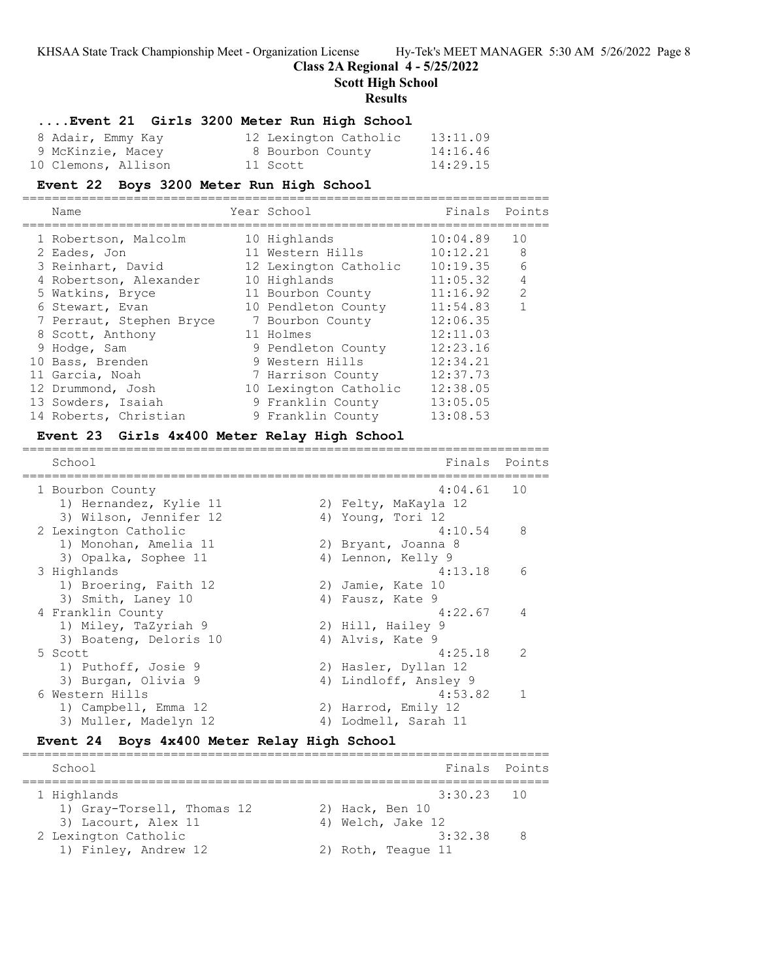# **Class 2A Regional 4 - 5/25/2022**

=======================================================================

**Scott High School**

**Results**

# **....Event 21 Girls 3200 Meter Run High School**

| 8 Adair, Emmy Kay   | 12 Lexington Catholic | 13:11.09 |
|---------------------|-----------------------|----------|
| 9 McKinzie, Macey   | 8 Bourbon County      | 14:16.46 |
| 10 Clemons, Allison | 11 Scott              | 14:29.15 |

### **Event 22 Boys 3200 Meter Run High School**

| Name                     | Year School           | Finals   | Points         |
|--------------------------|-----------------------|----------|----------------|
| 1 Robertson, Malcolm     | 10 Highlands          | 10:04.89 | 10             |
| 2 Eades, Jon             | 11 Western Hills      | 10:12.21 | 8              |
| 3 Reinhart, David        | 12 Lexington Catholic | 10:19.35 | 6              |
| 4 Robertson, Alexander   | 10 Highlands          | 11:05.32 | $\overline{4}$ |
| 5 Watkins, Bryce         | 11 Bourbon County     | 11:16.92 | $\mathcal{L}$  |
| 6 Stewart, Evan          | 10 Pendleton County   | 11:54.83 |                |
| 7 Perraut, Stephen Bryce | 7 Bourbon County      | 12:06.35 |                |
| 8 Scott, Anthony         | 11 Holmes             | 12:11.03 |                |
| 9 Hodge, Sam             | 9 Pendleton County    | 12:23.16 |                |
| 10 Bass, Brenden         | 9 Western Hills       | 12:34.21 |                |
| 11 Garcia, Noah          | 7 Harrison County     | 12:37.73 |                |
| 12 Drummond, Josh        | 10 Lexington Catholic | 12:38.05 |                |
| 13 Sowders, Isaiah       | 9 Franklin County     | 13:05.05 |                |
| 14 Roberts, Christian    | 9 Franklin County     | 13:08.53 |                |

=======================================================================

## **Event 23 Girls 4x400 Meter Relay High School**

School **Finals** Points **Points** Points **Points** Points **Points** Points **Points** Points **Points** Points **Points Points Points Points Points Points Points Points Points Points Points Points Points P** ======================================================================= 1 Bourbon County 4:04.61 10 1) Hernandez, Kylie 11 2) Felty, MaKayla 12 3) Wilson, Jennifer 12 4) Young, Tori 12 2 Lexington Catholic 4:10.54 8 1) Monohan, Amelia 11 120 20 Bryant, Joanna 8 3) Opalka, Sophee 11 (4) Lennon, Kelly 9 3 Highlands 4:13.18 6 1) Broering, Faith 12 (2) Jamie, Kate 10 3) Smith, Laney 10 (4) Fausz, Kate 9 4 Franklin County 4:22.67 4 1) Miley, TaZyriah 9 2) Hill, Hailey 9 3) Boateng, Deloris 10 (4) Alvis, Kate 9 5 Scott 4:25.18 2 1) Puthoff, Josie 9 2) Hasler, Dyllan 12 3) Burgan, Olivia 9 4) Lindloff, Ansley 9 6 Western Hills 4:53.82 1 1) Campbell, Emma 12 2) Harrod, Emily 12 3) Muller, Madelyn 12 1944 (4) Lodmell, Sarah 11

## **Event 24 Boys 4x400 Meter Relay High School**

| School                                       | Finals Points                   |   |
|----------------------------------------------|---------------------------------|---|
| 1 Highlands<br>1) Gray-Torsell, Thomas 12    | $3:30.23$ 10<br>2) Hack, Ben 10 |   |
| 3) Lacourt, Alex 11                          | 4) Welch, Jake 12               |   |
| 2 Lexington Catholic<br>1) Finley, Andrew 12 | 3:32.38<br>2) Roth, Teaque 11   | 8 |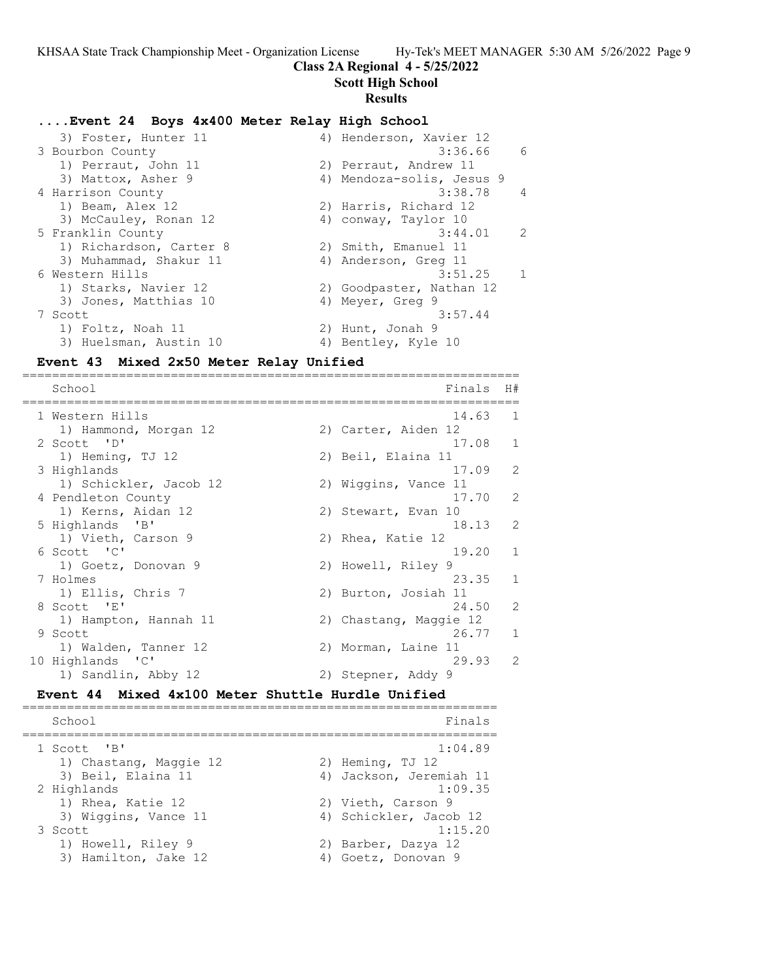# **Class 2A Regional 4 - 5/25/2022**

**Scott High School**

### **Results**

# **....Event 24 Boys 4x400 Meter Relay High School**

| 3) Foster, Hunter 11    | 4) Henderson, Xavier 12   |                |
|-------------------------|---------------------------|----------------|
| 3 Bourbon County        | 3:36.66                   | - 6            |
| 1) Perraut, John 11     | 2) Perraut, Andrew 11     |                |
| 3) Mattox, Asher 9      | 4) Mendoza-solis, Jesus 9 |                |
| 4 Harrison County       | 3:38.78                   | $\overline{4}$ |
| 1) Beam, Alex 12        | 2) Harris, Richard 12     |                |
| 3) McCauley, Ronan 12   | 4) conway, Taylor 10      |                |
| 5 Franklin County       | 3:44.01                   | $\overline{2}$ |
| 1) Richardson, Carter 8 | 2) Smith, Emanuel 11      |                |
| 3) Muhammad, Shakur 11  | 4) Anderson, Greg 11      |                |
| 6 Western Hills         | 3:51.25                   | $\mathbf{1}$   |
| 1) Starks, Navier 12    | 2) Goodpaster, Nathan 12  |                |
| 3) Jones, Matthias 10   | 4) Meyer, Greg 9          |                |
| 7 Scott                 | 3:57.44                   |                |
| 1) Foltz, Noah 11       | 2) Hunt, Jonah 9          |                |
| 3) Huelsman, Austin 10  | 4) Bentley, Kyle 10       |                |
|                         |                           |                |

# **Event 43 Mixed 2x50 Meter Relay Unified**

=================================================================== School Finals H# =================================================================== 1 Western Hills 14.63 1 1) Hammond, Morgan 12 (2) Carter, Aiden 12 2 Scott 'D' 17.08 1 1) Heming, TJ 12 2) Beil, Elaina 11 3 Highlands 17.09 2 1) Schickler, Jacob 12 (2) Wiggins, Vance 11 4 Pendleton County 17.70 2 1) Kerns, Aidan 12 2) Stewart, Evan 10 5 Highlands 'B' 18.13 2 1) Vieth, Carson 9 2) Rhea, Katie 12 6 Scott 'C' 19.20 1 1) Goetz, Donovan 9 2) Howell, Riley 9 7 Holmes 23.35 1 1) Ellis, Chris 7 2) Burton, Josiah 11<br>8 Scott 'E' 24.50 8 Scott 'E' 24.50 2 1) Hampton, Hannah 11 2) Chastang, Maggie 12 9 Scott 26.77 1 1) Walden, Tanner 12 19 2) Morman, Laine 11 10 Highlands 'C' 29.93 2<br>1) Sandlin, Abby 12 2) Stepner, Addy 9 1) Sandlin, Abby 12

### **Event 44 Mixed 4x100 Meter Shuttle Hurdle Unified**

================================================================ School Finals ================================================================ 1 Scott 'B' 1:04.89 1) Chastang, Maggie 12 (2) Heming, TJ 12 3) Beil, Elaina 11 4) Jackson, Jeremiah 11 2 Highlands 1:09.35 1) Rhea, Katie 12 2) Vieth, Carson 9 3) Wiggins, Vance 11 4) Schickler, Jacob 12 3 Scott 1:15.20 1) Howell, Riley 9 2) Barber, Dazya 12 3) Hamilton, Jake 12 (4) Goetz, Donovan 9